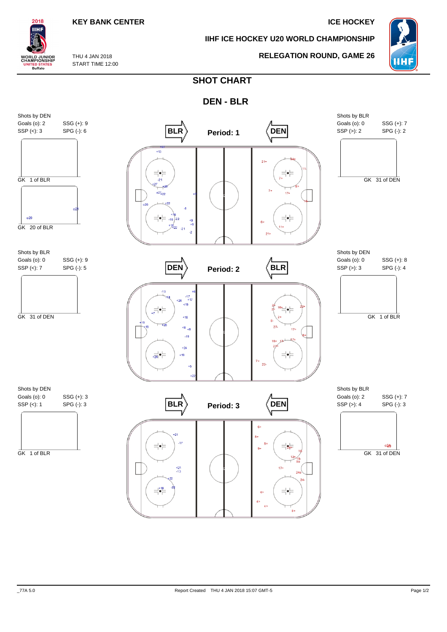## **KEY BANK CENTER ICE HOCKEY**

**IIHF ICE HOCKEY U20 WORLD CHAMPIONSHIP**



THU 4 JAN 2018

# **RELEGATION ROUND, GAME 26**

START TIME 12:00

2018 IІHI

**WORLD JUNIOR**<br>CHAMPIONSHIP

**ITED STATES**<br>Buffalo

**SHOT CHART**